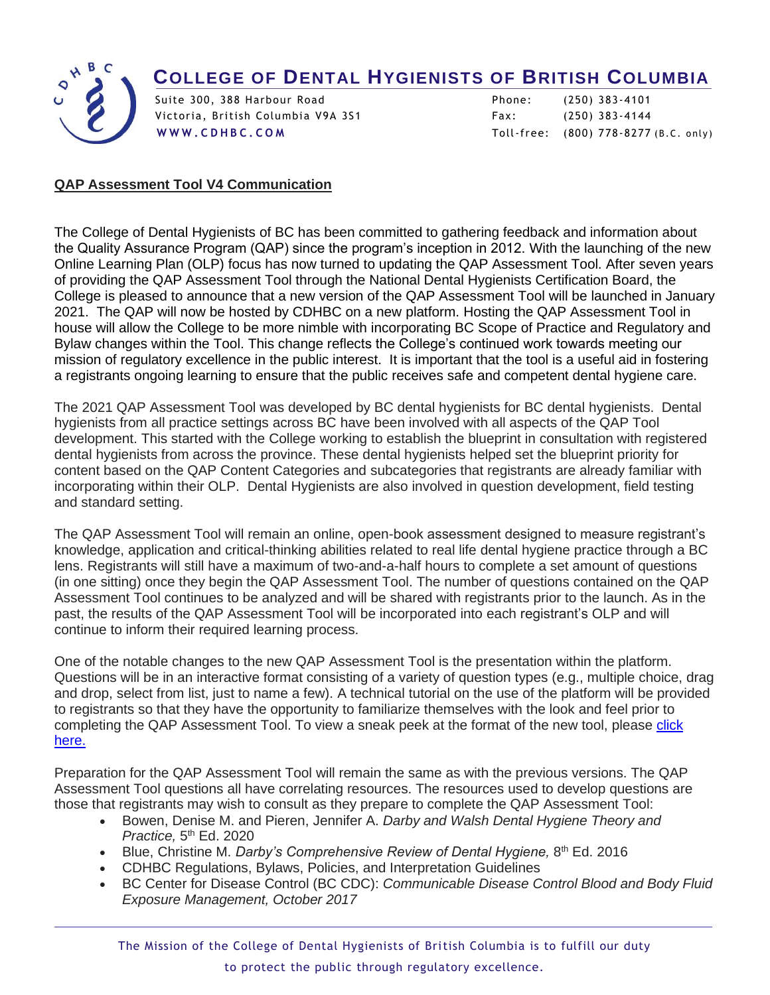## **COLLEGE OF DENTAL HYGIENISTS OF BRITISH COLUMBIA**



 $\overline{a}$ 

Victoria, British Columbia V9A 3S1 Fax: (250) 383 -4144

Suite 300, 388 Harbour Road Phone: (250) 383 -4101 **[W W W . C D H B C . C O M](http://www.cdhbc.com/)** Toll-free: (800) 778 -8277 (B.C. only)

## **QAP Assessment Tool V4 Communication**

The College of Dental Hygienists of BC has been committed to gathering feedback and information about the Quality Assurance Program (QAP) since the program's inception in 2012. With the launching of the new Online Learning Plan (OLP) focus has now turned to updating the QAP Assessment Tool. After seven years of providing the QAP Assessment Tool through the National Dental Hygienists Certification Board, the College is pleased to announce that a new version of the QAP Assessment Tool will be launched in January 2021. The QAP will now be hosted by CDHBC on a new platform. Hosting the QAP Assessment Tool in house will allow the College to be more nimble with incorporating BC Scope of Practice and Regulatory and Bylaw changes within the Tool. This change reflects the College's continued work towards meeting our mission of regulatory excellence in the public interest. It is important that the tool is a useful aid in fostering a registrants ongoing learning to ensure that the public receives safe and competent dental hygiene care.

The 2021 QAP Assessment Tool was developed by BC dental hygienists for BC dental hygienists. Dental hygienists from all practice settings across BC have been involved with all aspects of the QAP Tool development. This started with the College working to establish the blueprint in consultation with registered dental hygienists from across the province. These dental hygienists helped set the blueprint priority for content based on the QAP Content Categories and subcategories that registrants are already familiar with incorporating within their OLP. Dental Hygienists are also involved in question development, field testing and standard setting.

The QAP Assessment Tool will remain an online, open-book assessment designed to measure registrant's knowledge, application and critical-thinking abilities related to real life dental hygiene practice through a BC lens. Registrants will still have a maximum of two-and-a-half hours to complete a set amount of questions (in one sitting) once they begin the QAP Assessment Tool. The number of questions contained on the QAP Assessment Tool continues to be analyzed and will be shared with registrants prior to the launch. As in the past, the results of the QAP Assessment Tool will be incorporated into each registrant's OLP and will continue to inform their required learning process.

One of the notable changes to the new QAP Assessment Tool is the presentation within the platform. Questions will be in an interactive format consisting of a variety of question types (e.g., multiple choice, drag and drop, select from list, just to name a few). A technical tutorial on the use of the platform will be provided to registrants so that they have the opportunity to familiarize themselves with the look and feel prior to completing the QAP Assessment Tool. To view a sneak peek at the format of the new tool, please click [here.](https://youtu.be/vjbD78jJeew)

Preparation for the QAP Assessment Tool will remain the same as with the previous versions. The QAP Assessment Tool questions all have correlating resources. The resources used to develop questions are those that registrants may wish to consult as they prepare to complete the QAP Assessment Tool:

- Bowen, Denise M. and Pieren, Jennifer A. *Darby and Walsh Dental Hygiene Theory and Practice,* 5 th Ed. 2020
- Blue, Christine M. Darby's Comprehensive Review of Dental Hygiene, 8<sup>th</sup> Ed. 2016
- CDHBC Regulations, Bylaws, Policies, and Interpretation Guidelines
- BC Center for Disease Control (BC CDC): *Communicable Disease Control Blood and Body Fluid Exposure Management, October 2017*

The Mission of the College of Dental Hygienists of British Columbia is to fulfill our duty to protect the public through regulatory excellence.